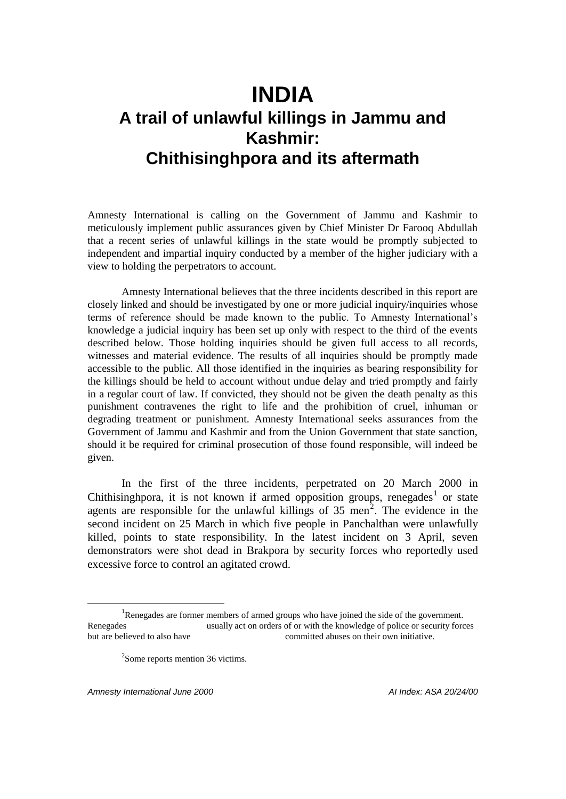# **INDIA A trail of unlawful killings in Jammu and Kashmir: Chithisinghpora and its aftermath**

Amnesty International is calling on the Government of Jammu and Kashmir to meticulously implement public assurances given by Chief Minister Dr Farooq Abdullah that a recent series of unlawful killings in the state would be promptly subjected to independent and impartial inquiry conducted by a member of the higher judiciary with a view to holding the perpetrators to account.

Amnesty International believes that the three incidents described in this report are closely linked and should be investigated by one or more judicial inquiry/inquiries whose terms of reference should be made known to the public. To Amnesty International's knowledge a judicial inquiry has been set up only with respect to the third of the events described below. Those holding inquiries should be given full access to all records, witnesses and material evidence. The results of all inquiries should be promptly made accessible to the public. All those identified in the inquiries as bearing responsibility for the killings should be held to account without undue delay and tried promptly and fairly in a regular court of law. If convicted, they should not be given the death penalty as this punishment contravenes the right to life and the prohibition of cruel, inhuman or degrading treatment or punishment. Amnesty International seeks assurances from the Government of Jammu and Kashmir and from the Union Government that state sanction, should it be required for criminal prosecution of those found responsible, will indeed be given.

In the first of the three incidents, perpetrated on 20 March 2000 in Chithisinghpora, it is not known if armed opposition groups, renegades<sup>1</sup> or state agents are responsible for the unlawful killings of  $35$  men<sup>2</sup>. The evidence in the second incident on 25 March in which five people in Panchalthan were unlawfully killed, points to state responsibility. In the latest incident on 3 April, seven demonstrators were shot dead in Brakpora by security forces who reportedly used excessive force to control an agitated crowd.

*Amnesty International June 2000 AI Index: ASA 20/24/00*

<sup>&</sup>lt;sup>1</sup>Renegades are former members of armed groups who have joined the side of the government. Renegades usually act on orders of or with the knowledge of police or security forces but are believed to also have committed abuses on their own initiative.

<sup>&</sup>lt;sup>2</sup>Some reports mention 36 victims.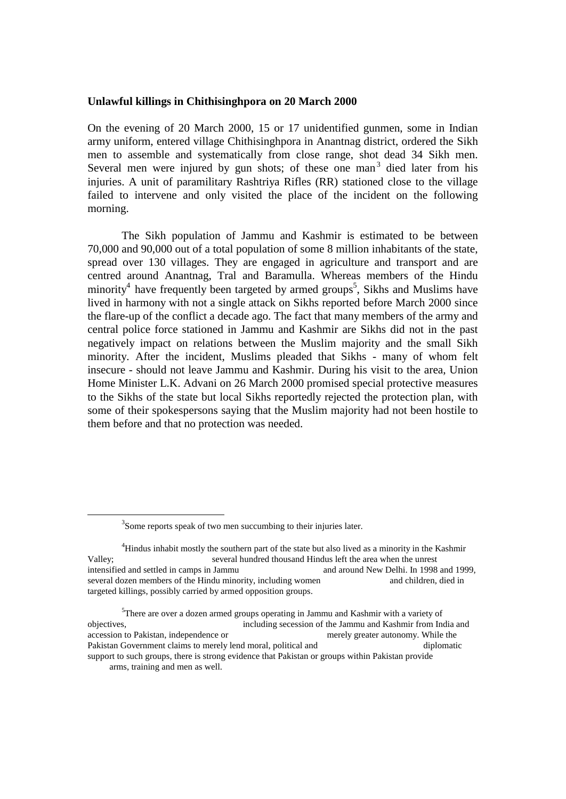#### **Unlawful killings in Chithisinghpora on 20 March 2000**

On the evening of 20 March 2000, 15 or 17 unidentified gunmen, some in Indian army uniform, entered village Chithisinghpora in Anantnag district, ordered the Sikh men to assemble and systematically from close range, shot dead 34 Sikh men. Several men were injured by gun shots; of these one man<sup>3</sup> died later from his injuries. A unit of paramilitary Rashtriya Rifles (RR) stationed close to the village failed to intervene and only visited the place of the incident on the following morning.

The Sikh population of Jammu and Kashmir is estimated to be between 70,000 and 90,000 out of a total population of some 8 million inhabitants of the state, spread over 130 villages. They are engaged in agriculture and transport and are centred around Anantnag, Tral and Baramulla. Whereas members of the Hindu minority<sup>4</sup> have frequently been targeted by armed groups<sup>5</sup>, Sikhs and Muslims have lived in harmony with not a single attack on Sikhs reported before March 2000 since the flare-up of the conflict a decade ago. The fact that many members of the army and central police force stationed in Jammu and Kashmir are Sikhs did not in the past negatively impact on relations between the Muslim majority and the small Sikh minority. After the incident, Muslims pleaded that Sikhs - many of whom felt insecure - should not leave Jammu and Kashmir. During his visit to the area, Union Home Minister L.K. Advani on 26 March 2000 promised special protective measures to the Sikhs of the state but local Sikhs reportedly rejected the protection plan, with some of their spokespersons saying that the Muslim majority had not been hostile to them before and that no protection was needed.

<sup>&</sup>lt;sup>3</sup>Some reports speak of two men succumbing to their injuries later.

<sup>&</sup>lt;sup>4</sup>Hindus inhabit mostly the southern part of the state but also lived as a minority in the Kashmir Valley; several hundred thousand Hindus left the area when the unrest intensified and settled in camps in Jammu and around New Delhi. In 1998 and 1999, several dozen members of the Hindu minority, including women and children, died in targeted killings, possibly carried by armed opposition groups.

<sup>&</sup>lt;sup>5</sup>There are over a dozen armed groups operating in Jammu and Kashmir with a variety of objectives, including secession of the Jammu and Kashmir from India and accession to Pakistan, independence or merely greater autonomy. While the Pakistan Government claims to merely lend moral, political and diplomatic diplomatic support to such groups, there is strong evidence that Pakistan or groups within Pakistan provide arms, training and men as well.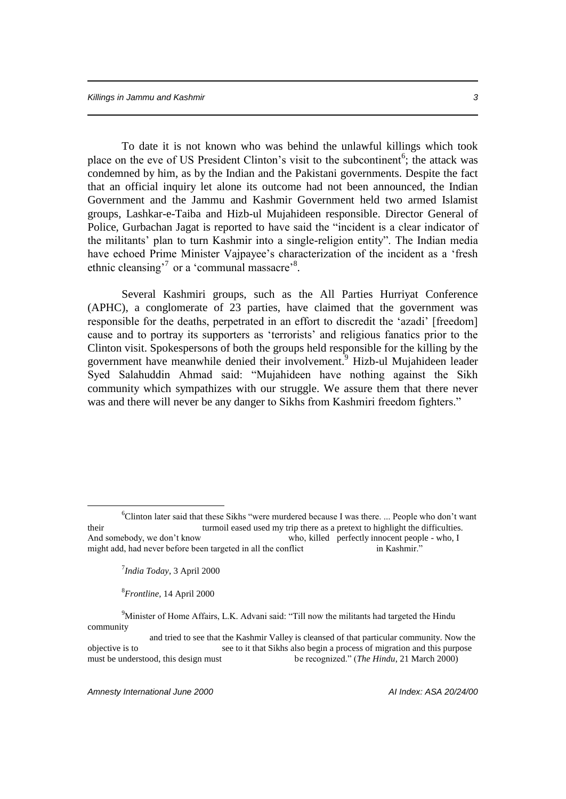To date it is not known who was behind the unlawful killings which took place on the eve of US President Clinton's visit to the subcontinent<sup>6</sup>; the attack was condemned by him, as by the Indian and the Pakistani governments. Despite the fact that an official inquiry let alone its outcome had not been announced, the Indian Government and the Jammu and Kashmir Government held two armed Islamist groups, Lashkar-e-Taiba and Hizb-ul Mujahideen responsible. Director General of Police, Gurbachan Jagat is reported to have said the "incident is a clear indicator of the militants' plan to turn Kashmir into a single-religion entity". The Indian media have echoed Prime Minister Vajpayee's characterization of the incident as a 'fresh ethnic cleansing<sup>7</sup> or a 'communal massacre'<sup>8</sup>.

Several Kashmiri groups, such as the All Parties Hurriyat Conference (APHC), a conglomerate of 23 parties, have claimed that the government was responsible for the deaths, perpetrated in an effort to discredit the 'azadi' [freedom] cause and to portray its supporters as 'terrorists' and religious fanatics prior to the Clinton visit. Spokespersons of both the groups held responsible for the killing by the government have meanwhile denied their involvement.<sup>9</sup> Hizb-ul Mujahideen leader Syed Salahuddin Ahmad said: "Mujahideen have nothing against the Sikh community which sympathizes with our struggle. We assure them that there never was and there will never be any danger to Sikhs from Kashmiri freedom fighters."

7 *India Today*, 3 April 2000

 $\overline{a}$ 

8 *Frontline,* 14 April 2000

<sup>9</sup>Minister of Home Affairs, L.K. Advani said: "Till now the militants had targeted the Hindu community

*Amnesty International June 2000 AI Index: ASA 20/24/00*

<sup>6</sup>Clinton later said that these Sikhs "were murdered because I was there. ... People who don't want their turmoil eased used my trip there as a pretext to highlight the difficulties. And somebody, we don't know who, killed perfectly innocent people - who, I might add, had never before been targeted in all the conflict in Kashmir.<sup>3</sup>

and tried to see that the Kashmir Valley is cleansed of that particular community. Now the objective is to see to it that Sikhs also begin a process of migration and this purpose must be understood, this design must be recognized." (*The Hindu*, 21 March 2000)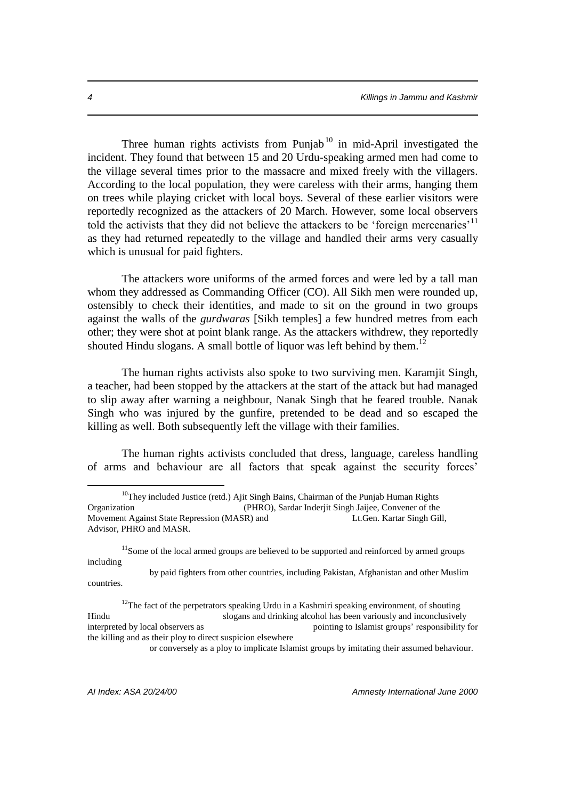Three human rights activists from Punjab<sup>10</sup> in mid-April investigated the incident. They found that between 15 and 20 Urdu-speaking armed men had come to the village several times prior to the massacre and mixed freely with the villagers. According to the local population, they were careless with their arms, hanging them on trees while playing cricket with local boys. Several of these earlier visitors were reportedly recognized as the attackers of 20 March. However, some local observers told the activists that they did not believe the attackers to be 'foreign mercenaries'<sup>11</sup> as they had returned repeatedly to the village and handled their arms very casually which is unusual for paid fighters.

The attackers wore uniforms of the armed forces and were led by a tall man whom they addressed as Commanding Officer (CO). All Sikh men were rounded up, ostensibly to check their identities, and made to sit on the ground in two groups against the walls of the *gurdwaras* [Sikh temples] a few hundred metres from each other; they were shot at point blank range. As the attackers withdrew, they reportedly shouted Hindu slogans. A small bottle of liquor was left behind by them.<sup>12</sup>

The human rights activists also spoke to two surviving men. Karamjit Singh, a teacher, had been stopped by the attackers at the start of the attack but had managed to slip away after warning a neighbour, Nanak Singh that he feared trouble. Nanak Singh who was injured by the gunfire, pretended to be dead and so escaped the killing as well. Both subsequently left the village with their families.

The human rights activists concluded that dress, language, careless handling of arms and behaviour are all factors that speak against the security forces'

 $11$ Some of the local armed groups are believed to be supported and reinforced by armed groups including

 by paid fighters from other countries, including Pakistan, Afghanistan and other Muslim countries.

or conversely as a ploy to implicate Islamist groups by imitating their assumed behaviour.

 $10$ They included Justice (retd.) Ajit Singh Bains, Chairman of the Punjab Human Rights Organization (PHRO), Sardar Inderjit Singh Jaijee, Convener of the Movement Against State Repression (MASR) and Lt.Gen. Kartar Singh Gill, Advisor, PHRO and MASR.

 $12$ The fact of the perpetrators speaking Urdu in a Kashmiri speaking environment, of shouting Hindu slogans and drinking alcohol has been variously and inconclusively interpreted by local observers as pointing to Islamist groups' responsibility for the killing and as their ploy to direct suspicion elsewhere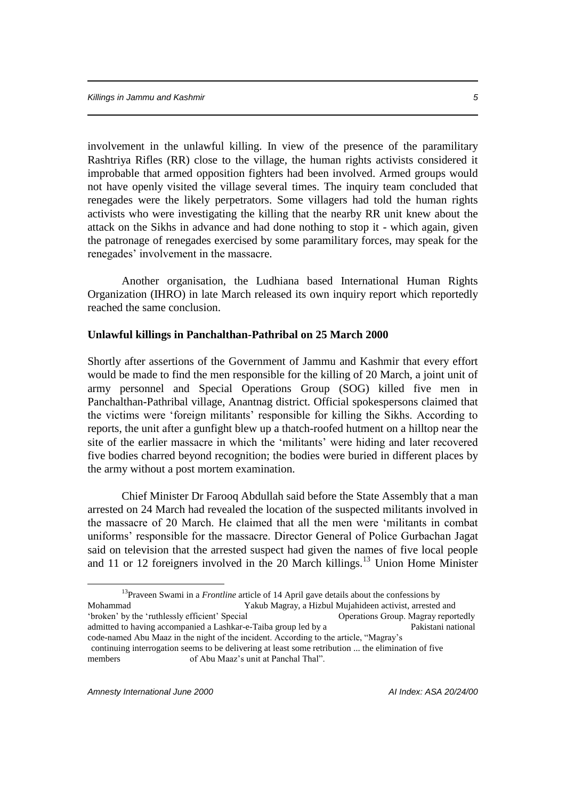involvement in the unlawful killing. In view of the presence of the paramilitary Rashtriya Rifles (RR) close to the village, the human rights activists considered it improbable that armed opposition fighters had been involved. Armed groups would not have openly visited the village several times. The inquiry team concluded that renegades were the likely perpetrators. Some villagers had told the human rights activists who were investigating the killing that the nearby RR unit knew about the attack on the Sikhs in advance and had done nothing to stop it - which again, given the patronage of renegades exercised by some paramilitary forces, may speak for the renegades' involvement in the massacre.

Another organisation, the Ludhiana based International Human Rights Organization (IHRO) in late March released its own inquiry report which reportedly reached the same conclusion.

### **Unlawful killings in Panchalthan-Pathribal on 25 March 2000**

Shortly after assertions of the Government of Jammu and Kashmir that every effort would be made to find the men responsible for the killing of 20 March, a joint unit of army personnel and Special Operations Group (SOG) killed five men in Panchalthan-Pathribal village, Anantnag district. Official spokespersons claimed that the victims were 'foreign militants' responsible for killing the Sikhs. According to reports, the unit after a gunfight blew up a thatch-roofed hutment on a hilltop near the site of the earlier massacre in which the 'militants' were hiding and later recovered five bodies charred beyond recognition; the bodies were buried in different places by the army without a post mortem examination.

Chief Minister Dr Farooq Abdullah said before the State Assembly that a man arrested on 24 March had revealed the location of the suspected militants involved in the massacre of 20 March. He claimed that all the men were 'militants in combat uniforms' responsible for the massacre. Director General of Police Gurbachan Jagat said on television that the arrested suspect had given the names of five local people and 11 or 12 foreigners involved in the 20 March killings.<sup>13</sup> Union Home Minister

<sup>&</sup>lt;sup>13</sup>Praveen Swami in a *Frontline* article of 14 April gave details about the confessions by Mohammad Yakub Magray, a Hizbul Mujahideen activist, arrested and 'broken' by the 'ruthlessly efficient' Special Operations Group. Magray reportedly admitted to having accompanied a Lashkar-e-Taiba group led by a Pakistani national code-named Abu Maaz in the night of the incident. According to the article, "Magray's continuing interrogation seems to be delivering at least some retribution ... the elimination of five members of Abu Maaz's unit at Panchal Thal".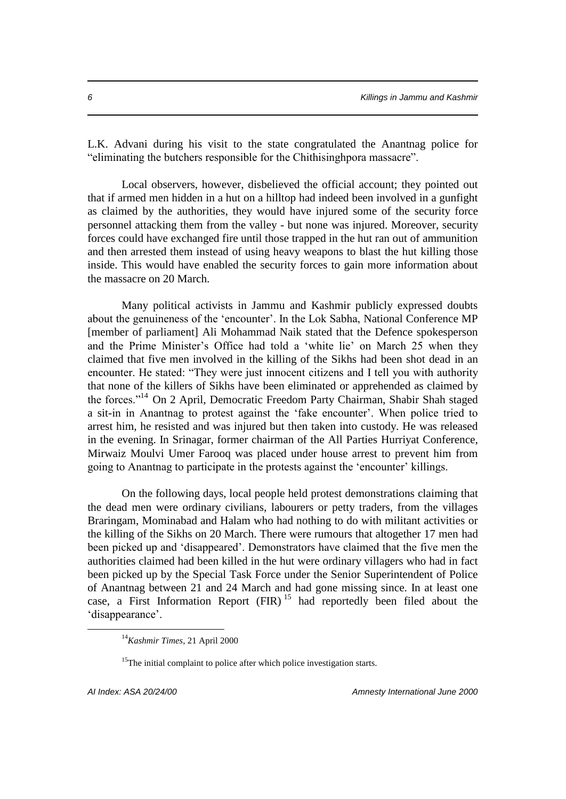L.K. Advani during his visit to the state congratulated the Anantnag police for "eliminating the butchers responsible for the Chithisinghpora massacre".

Local observers, however, disbelieved the official account; they pointed out that if armed men hidden in a hut on a hilltop had indeed been involved in a gunfight as claimed by the authorities, they would have injured some of the security force personnel attacking them from the valley - but none was injured. Moreover, security forces could have exchanged fire until those trapped in the hut ran out of ammunition and then arrested them instead of using heavy weapons to blast the hut killing those inside. This would have enabled the security forces to gain more information about the massacre on 20 March.

Many political activists in Jammu and Kashmir publicly expressed doubts about the genuineness of the 'encounter'. In the Lok Sabha, National Conference MP [member of parliament] Ali Mohammad Naik stated that the Defence spokesperson and the Prime Minister's Office had told a 'white lie' on March 25 when they claimed that five men involved in the killing of the Sikhs had been shot dead in an encounter. He stated: "They were just innocent citizens and I tell you with authority that none of the killers of Sikhs have been eliminated or apprehended as claimed by the forces."<sup>14</sup> On 2 April, Democratic Freedom Party Chairman, Shabir Shah staged a sit-in in Anantnag to protest against the 'fake encounter'. When police tried to arrest him, he resisted and was injured but then taken into custody. He was released in the evening. In Srinagar, former chairman of the All Parties Hurriyat Conference, Mirwaiz Moulvi Umer Farooq was placed under house arrest to prevent him from going to Anantnag to participate in the protests against the 'encounter' killings.

On the following days, local people held protest demonstrations claiming that the dead men were ordinary civilians, labourers or petty traders, from the villages Braringam, Mominabad and Halam who had nothing to do with militant activities or the killing of the Sikhs on 20 March. There were rumours that altogether 17 men had been picked up and 'disappeared'. Demonstrators have claimed that the five men the authorities claimed had been killed in the hut were ordinary villagers who had in fact been picked up by the Special Task Force under the Senior Superintendent of Police of Anantnag between 21 and 24 March and had gone missing since. In at least one case, a First Information Report  $(FIR)^{15}$  had reportedly been filed about the 'disappearance'.

<sup>14</sup>*Kashmir Times*, 21 April 2000

<sup>&</sup>lt;sup>15</sup>The initial complaint to police after which police investigation starts.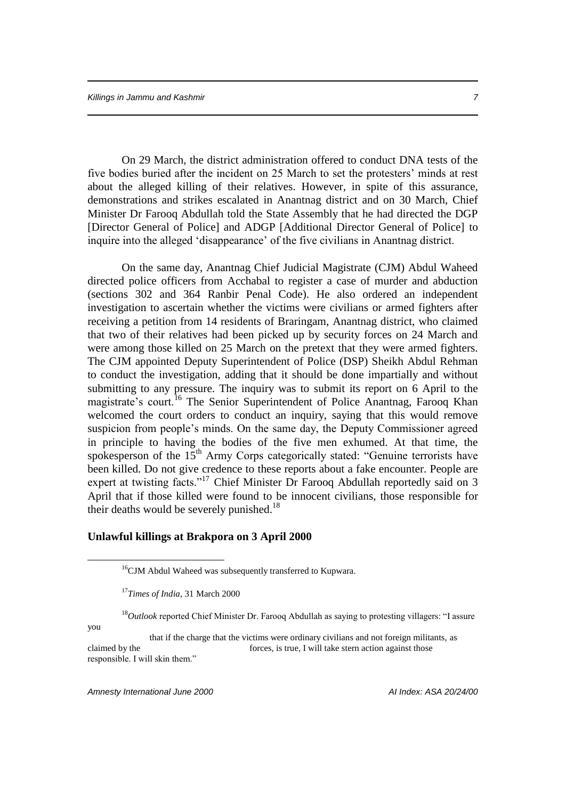On 29 March, the district administration offered to conduct DNA tests of the five bodies buried after the incident on 25 March to set the protesters' minds at rest about the alleged killing of their relatives. However, in spite of this assurance, demonstrations and strikes escalated in Anantnag district and on 30 March, Chief Minister Dr Farooq Abdullah told the State Assembly that he had directed the DGP [Director General of Police] and ADGP [Additional Director General of Police] to inquire into the alleged 'disappearance' of the five civilians in Anantnag district.

On the same day, Anantnag Chief Judicial Magistrate (CJM) Abdul Waheed directed police officers from Acchabal to register a case of murder and abduction (sections 302 and 364 Ranbir Penal Code). He also ordered an independent investigation to ascertain whether the victims were civilians or armed fighters after receiving a petition from 14 residents of Braringam, Anantnag district, who claimed that two of their relatives had been picked up by security forces on 24 March and were among those killed on 25 March on the pretext that they were armed fighters. The CJM appointed Deputy Superintendent of Police (DSP) Sheikh Abdul Rehman to conduct the investigation, adding that it should be done impartially and without submitting to any pressure. The inquiry was to submit its report on 6 April to the magistrate's court.<sup>16</sup> The Senior Superintendent of Police Anantnag, Farooq Khan welcomed the court orders to conduct an inquiry, saying that this would remove suspicion from people's minds. On the same day, the Deputy Commissioner agreed in principle to having the bodies of the five men exhumed. At that time, the spokesperson of the  $15<sup>th</sup>$  Army Corps categorically stated: "Genuine terrorists have been killed. Do not give credence to these reports about a fake encounter. People are expert at twisting facts."<sup>17</sup> Chief Minister Dr Farooq Abdullah reportedly said on 3 April that if those killed were found to be innocent civilians, those responsible for their deaths would be severely punished.<sup>18</sup>

## **Unlawful killings at Brakpora on 3 April 2000**

<sup>18</sup>Outlook reported Chief Minister Dr. Farooq Abdullah as saying to protesting villagers: "I assure

you

 $\overline{a}$ 

 that if the charge that the victims were ordinary civilians and not foreign militants, as claimed by the forces, is true, I will take stern action against those responsible. I will skin them."

*Amnesty International June 2000 AI Index: ASA 20/24/00*

<sup>&</sup>lt;sup>16</sup>CJM Abdul Waheed was subsequently transferred to Kupwara.

<sup>17</sup>*Times of India*, 31 March 2000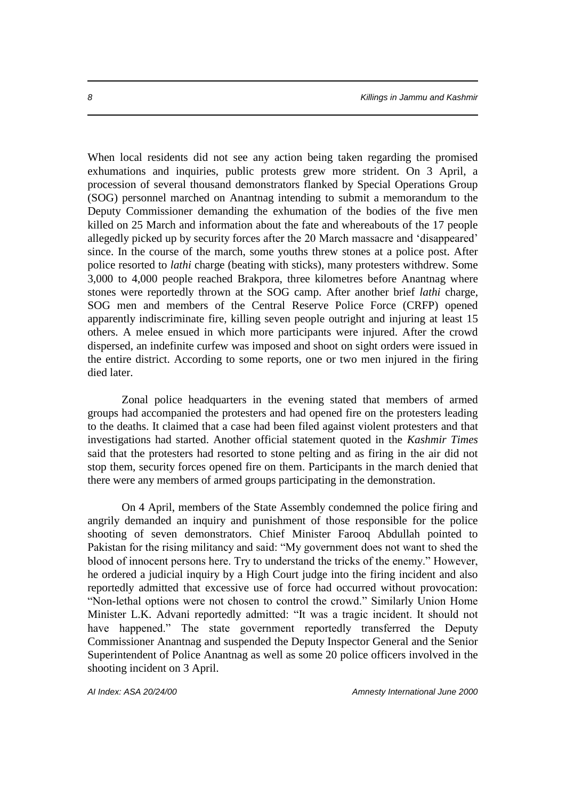When local residents did not see any action being taken regarding the promised exhumations and inquiries, public protests grew more strident. On 3 April, a procession of several thousand demonstrators flanked by Special Operations Group (SOG) personnel marched on Anantnag intending to submit a memorandum to the Deputy Commissioner demanding the exhumation of the bodies of the five men killed on 25 March and information about the fate and whereabouts of the 17 people allegedly picked up by security forces after the 20 March massacre and 'disappeared' since. In the course of the march, some youths threw stones at a police post. After police resorted to *lathi* charge (beating with sticks), many protesters withdrew. Some 3,000 to 4,000 people reached Brakpora, three kilometres before Anantnag where stones were reportedly thrown at the SOG camp. After another brief *lathi* charge, SOG men and members of the Central Reserve Police Force (CRFP) opened apparently indiscriminate fire, killing seven people outright and injuring at least 15 others. A melee ensued in which more participants were injured. After the crowd dispersed, an indefinite curfew was imposed and shoot on sight orders were issued in the entire district. According to some reports, one or two men injured in the firing died later.

Zonal police headquarters in the evening stated that members of armed groups had accompanied the protesters and had opened fire on the protesters leading to the deaths. It claimed that a case had been filed against violent protesters and that investigations had started. Another official statement quoted in the *Kashmir Times* said that the protesters had resorted to stone pelting and as firing in the air did not stop them, security forces opened fire on them. Participants in the march denied that there were any members of armed groups participating in the demonstration.

On 4 April, members of the State Assembly condemned the police firing and angrily demanded an inquiry and punishment of those responsible for the police shooting of seven demonstrators. Chief Minister Farooq Abdullah pointed to Pakistan for the rising militancy and said: "My government does not want to shed the blood of innocent persons here. Try to understand the tricks of the enemy." However, he ordered a judicial inquiry by a High Court judge into the firing incident and also reportedly admitted that excessive use of force had occurred without provocation: "Non-lethal options were not chosen to control the crowd." Similarly Union Home Minister L.K. Advani reportedly admitted: "It was a tragic incident. It should not have happened." The state government reportedly transferred the Deputy Commissioner Anantnag and suspended the Deputy Inspector General and the Senior Superintendent of Police Anantnag as well as some 20 police officers involved in the shooting incident on 3 April.

*AI Index: ASA 20/24/00 Amnesty International June 2000*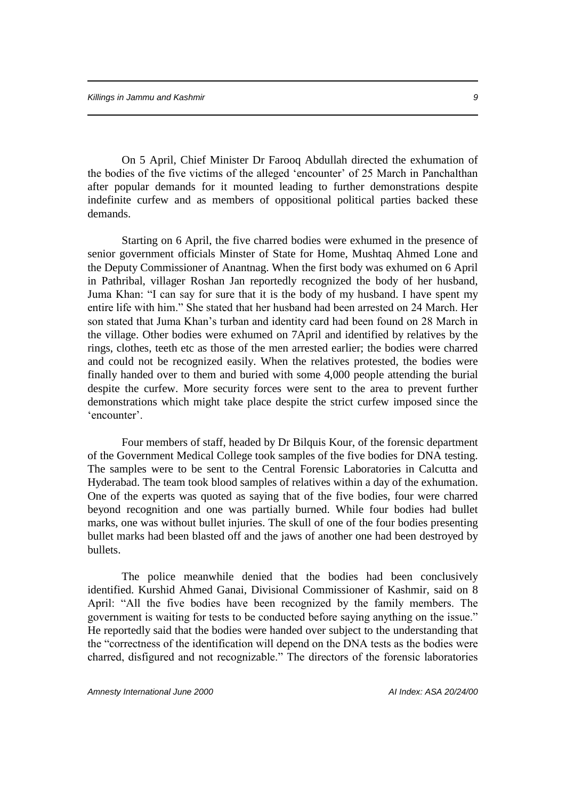On 5 April, Chief Minister Dr Farooq Abdullah directed the exhumation of the bodies of the five victims of the alleged 'encounter' of 25 March in Panchalthan after popular demands for it mounted leading to further demonstrations despite indefinite curfew and as members of oppositional political parties backed these demands.

Starting on 6 April, the five charred bodies were exhumed in the presence of senior government officials Minster of State for Home, Mushtaq Ahmed Lone and the Deputy Commissioner of Anantnag. When the first body was exhumed on 6 April in Pathribal, villager Roshan Jan reportedly recognized the body of her husband, Juma Khan: "I can say for sure that it is the body of my husband. I have spent my entire life with him." She stated that her husband had been arrested on 24 March. Her son stated that Juma Khan's turban and identity card had been found on 28 March in the village. Other bodies were exhumed on 7April and identified by relatives by the rings, clothes, teeth etc as those of the men arrested earlier; the bodies were charred and could not be recognized easily. When the relatives protested, the bodies were finally handed over to them and buried with some 4,000 people attending the burial despite the curfew. More security forces were sent to the area to prevent further demonstrations which might take place despite the strict curfew imposed since the 'encounter'.

Four members of staff, headed by Dr Bilquis Kour, of the forensic department of the Government Medical College took samples of the five bodies for DNA testing. The samples were to be sent to the Central Forensic Laboratories in Calcutta and Hyderabad. The team took blood samples of relatives within a day of the exhumation. One of the experts was quoted as saying that of the five bodies, four were charred beyond recognition and one was partially burned. While four bodies had bullet marks, one was without bullet injuries. The skull of one of the four bodies presenting bullet marks had been blasted off and the jaws of another one had been destroyed by bullets.

The police meanwhile denied that the bodies had been conclusively identified. Kurshid Ahmed Ganai, Divisional Commissioner of Kashmir, said on 8 April: "All the five bodies have been recognized by the family members. The government is waiting for tests to be conducted before saying anything on the issue." He reportedly said that the bodies were handed over subject to the understanding that the "correctness of the identification will depend on the DNA tests as the bodies were charred, disfigured and not recognizable." The directors of the forensic laboratories

*Amnesty International June 2000 AI Index: ASA 20/24/00*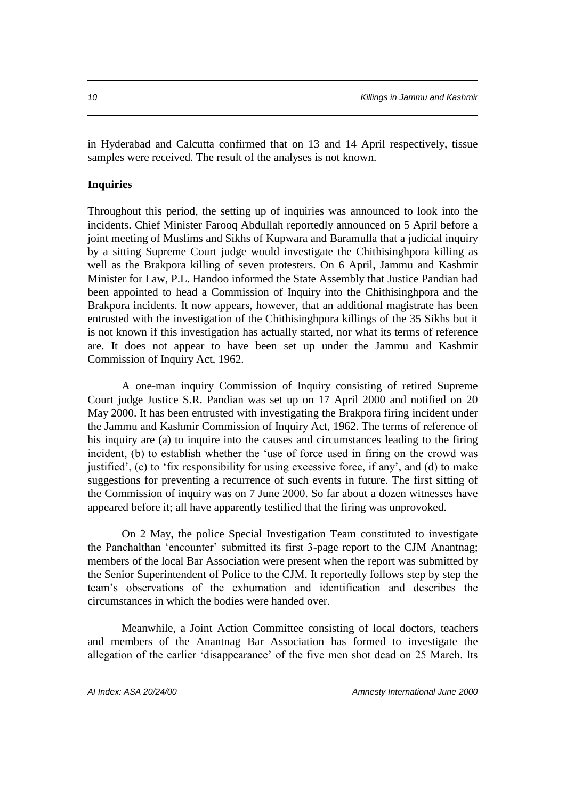in Hyderabad and Calcutta confirmed that on 13 and 14 April respectively, tissue samples were received. The result of the analyses is not known.

### **Inquiries**

Throughout this period, the setting up of inquiries was announced to look into the incidents. Chief Minister Farooq Abdullah reportedly announced on 5 April before a joint meeting of Muslims and Sikhs of Kupwara and Baramulla that a judicial inquiry by a sitting Supreme Court judge would investigate the Chithisinghpora killing as well as the Brakpora killing of seven protesters. On 6 April, Jammu and Kashmir Minister for Law, P.L. Handoo informed the State Assembly that Justice Pandian had been appointed to head a Commission of Inquiry into the Chithisinghpora and the Brakpora incidents. It now appears, however, that an additional magistrate has been entrusted with the investigation of the Chithisinghpora killings of the 35 Sikhs but it is not known if this investigation has actually started, nor what its terms of reference are. It does not appear to have been set up under the Jammu and Kashmir Commission of Inquiry Act, 1962.

A one-man inquiry Commission of Inquiry consisting of retired Supreme Court judge Justice S.R. Pandian was set up on 17 April 2000 and notified on 20 May 2000. It has been entrusted with investigating the Brakpora firing incident under the Jammu and Kashmir Commission of Inquiry Act, 1962. The terms of reference of his inquiry are (a) to inquire into the causes and circumstances leading to the firing incident, (b) to establish whether the 'use of force used in firing on the crowd was justified', (c) to 'fix responsibility for using excessive force, if any', and (d) to make suggestions for preventing a recurrence of such events in future. The first sitting of the Commission of inquiry was on 7 June 2000. So far about a dozen witnesses have appeared before it; all have apparently testified that the firing was unprovoked.

On 2 May, the police Special Investigation Team constituted to investigate the Panchalthan 'encounter' submitted its first 3-page report to the CJM Anantnag; members of the local Bar Association were present when the report was submitted by the Senior Superintendent of Police to the CJM. It reportedly follows step by step the team's observations of the exhumation and identification and describes the circumstances in which the bodies were handed over.

Meanwhile, a Joint Action Committee consisting of local doctors, teachers and members of the Anantnag Bar Association has formed to investigate the allegation of the earlier 'disappearance' of the five men shot dead on 25 March. Its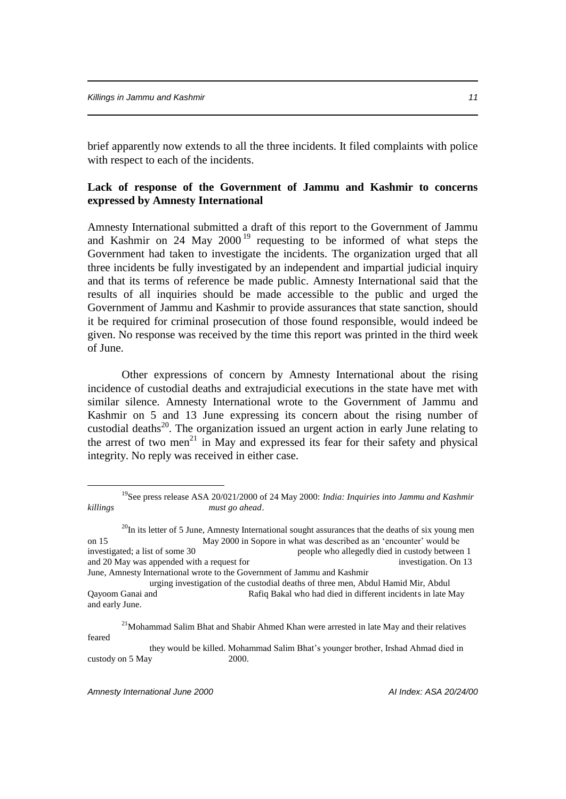brief apparently now extends to all the three incidents. It filed complaints with police with respect to each of the incidents.

# **Lack of response of the Government of Jammu and Kashmir to concerns expressed by Amnesty International**

Amnesty International submitted a draft of this report to the Government of Jammu and Kashmir on 24 May  $2000^{19}$  requesting to be informed of what steps the Government had taken to investigate the incidents. The organization urged that all three incidents be fully investigated by an independent and impartial judicial inquiry and that its terms of reference be made public. Amnesty International said that the results of all inquiries should be made accessible to the public and urged the Government of Jammu and Kashmir to provide assurances that state sanction, should it be required for criminal prosecution of those found responsible, would indeed be given. No response was received by the time this report was printed in the third week of June.

Other expressions of concern by Amnesty International about the rising incidence of custodial deaths and extrajudicial executions in the state have met with similar silence. Amnesty International wrote to the Government of Jammu and Kashmir on 5 and 13 June expressing its concern about the rising number of custodial deaths<sup>20</sup>. The organization issued an urgent action in early June relating to the arrest of two men<sup>21</sup> in May and expressed its fear for their safety and physical integrity. No reply was received in either case.

<sup>&</sup>lt;sup>19</sup>See press release ASA 20/021/2000 of 24 May 2000: *India: Inquiries into Jammu and Kashmir killings must go ahead*.

 $^{20}$ In its letter of 5 June, Amnesty International sought assurances that the deaths of six young men on 15 May 2000 in Sopore in what was described as an 'encounter' would be investigated; a list of some 30 people who allegedly died in custody between 1 and 20 May was appended with a request for investigation. On 13 June, Amnesty International wrote to the Government of Jammu and Kashmir

urging investigation of the custodial deaths of three men, Abdul Hamid Mir, Abdul Qayoom Ganai and Rafiq Bakal who had died in different incidents in late May and early June.

 $2<sup>1</sup>$ Mohammad Salim Bhat and Shabir Ahmed Khan were arrested in late May and their relatives feared

they would be killed. Mohammad Salim Bhat's younger brother, Irshad Ahmad died in custody on 5 May 2000.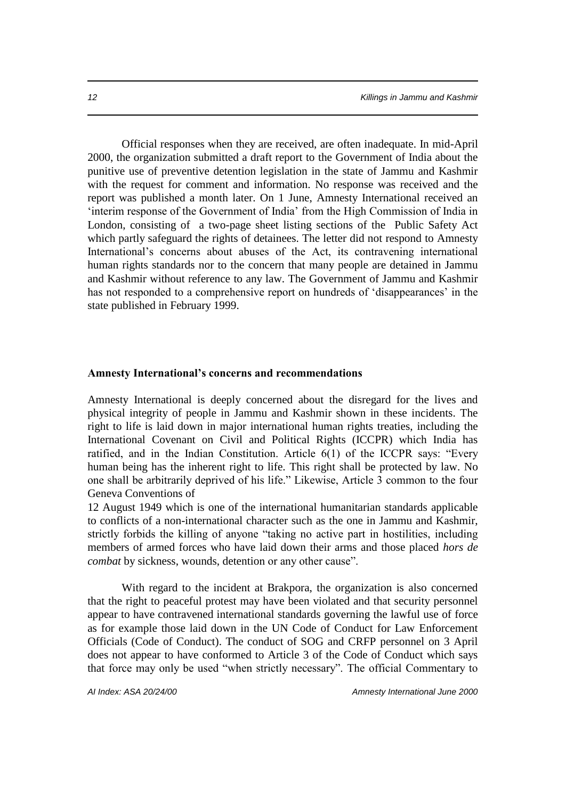Official responses when they are received, are often inadequate. In mid-April 2000, the organization submitted a draft report to the Government of India about the punitive use of preventive detention legislation in the state of Jammu and Kashmir with the request for comment and information. No response was received and the report was published a month later. On 1 June, Amnesty International received an 'interim response of the Government of India' from the High Commission of India in London, consisting of a two-page sheet listing sections of the Public Safety Act which partly safeguard the rights of detainees. The letter did not respond to Amnesty International's concerns about abuses of the Act, its contravening international human rights standards nor to the concern that many people are detained in Jammu and Kashmir without reference to any law. The Government of Jammu and Kashmir has not responded to a comprehensive report on hundreds of 'disappearances' in the state published in February 1999.

#### **Amnesty International's concerns and recommendations**

Amnesty International is deeply concerned about the disregard for the lives and physical integrity of people in Jammu and Kashmir shown in these incidents. The right to life is laid down in major international human rights treaties, including the International Covenant on Civil and Political Rights (ICCPR) which India has ratified, and in the Indian Constitution. Article 6(1) of the ICCPR says: "Every human being has the inherent right to life. This right shall be protected by law. No one shall be arbitrarily deprived of his life." Likewise, Article 3 common to the four Geneva Conventions of

12 August 1949 which is one of the international humanitarian standards applicable to conflicts of a non-international character such as the one in Jammu and Kashmir, strictly forbids the killing of anyone "taking no active part in hostilities, including members of armed forces who have laid down their arms and those placed *hors de combat* by sickness, wounds, detention or any other cause".

With regard to the incident at Brakpora, the organization is also concerned that the right to peaceful protest may have been violated and that security personnel appear to have contravened international standards governing the lawful use of force as for example those laid down in the UN Code of Conduct for Law Enforcement Officials (Code of Conduct). The conduct of SOG and CRFP personnel on 3 April does not appear to have conformed to Article 3 of the Code of Conduct which says that force may only be used "when strictly necessary". The official Commentary to

*AI Index: ASA 20/24/00 Amnesty International June 2000*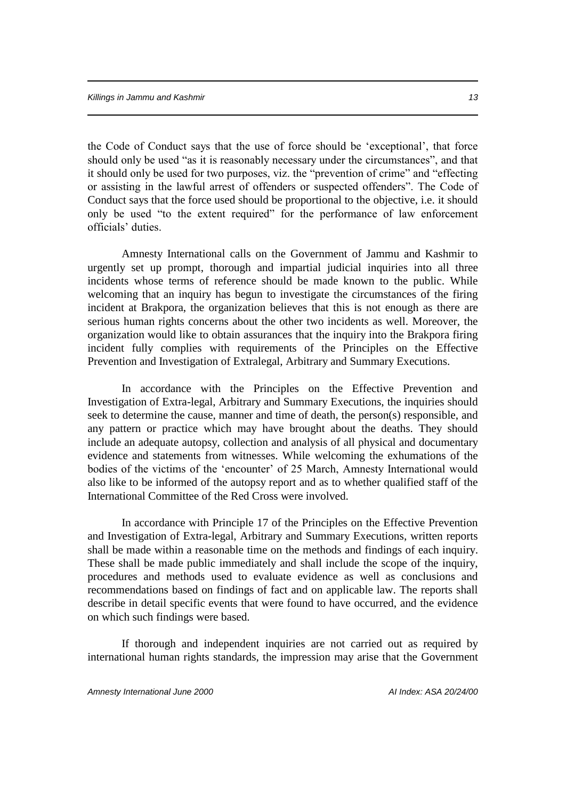the Code of Conduct says that the use of force should be 'exceptional', that force should only be used "as it is reasonably necessary under the circumstances", and that it should only be used for two purposes, viz. the "prevention of crime" and "effecting or assisting in the lawful arrest of offenders or suspected offenders". The Code of Conduct says that the force used should be proportional to the objective, i.e. it should only be used "to the extent required" for the performance of law enforcement officials' duties.

Amnesty International calls on the Government of Jammu and Kashmir to urgently set up prompt, thorough and impartial judicial inquiries into all three incidents whose terms of reference should be made known to the public. While welcoming that an inquiry has begun to investigate the circumstances of the firing incident at Brakpora, the organization believes that this is not enough as there are serious human rights concerns about the other two incidents as well. Moreover, the organization would like to obtain assurances that the inquiry into the Brakpora firing incident fully complies with requirements of the Principles on the Effective Prevention and Investigation of Extralegal, Arbitrary and Summary Executions.

In accordance with the Principles on the Effective Prevention and Investigation of Extra-legal, Arbitrary and Summary Executions, the inquiries should seek to determine the cause, manner and time of death, the person(s) responsible, and any pattern or practice which may have brought about the deaths. They should include an adequate autopsy, collection and analysis of all physical and documentary evidence and statements from witnesses. While welcoming the exhumations of the bodies of the victims of the 'encounter' of 25 March, Amnesty International would also like to be informed of the autopsy report and as to whether qualified staff of the International Committee of the Red Cross were involved.

In accordance with Principle 17 of the Principles on the Effective Prevention and Investigation of Extra-legal, Arbitrary and Summary Executions, written reports shall be made within a reasonable time on the methods and findings of each inquiry. These shall be made public immediately and shall include the scope of the inquiry, procedures and methods used to evaluate evidence as well as conclusions and recommendations based on findings of fact and on applicable law. The reports shall describe in detail specific events that were found to have occurred, and the evidence on which such findings were based.

If thorough and independent inquiries are not carried out as required by international human rights standards, the impression may arise that the Government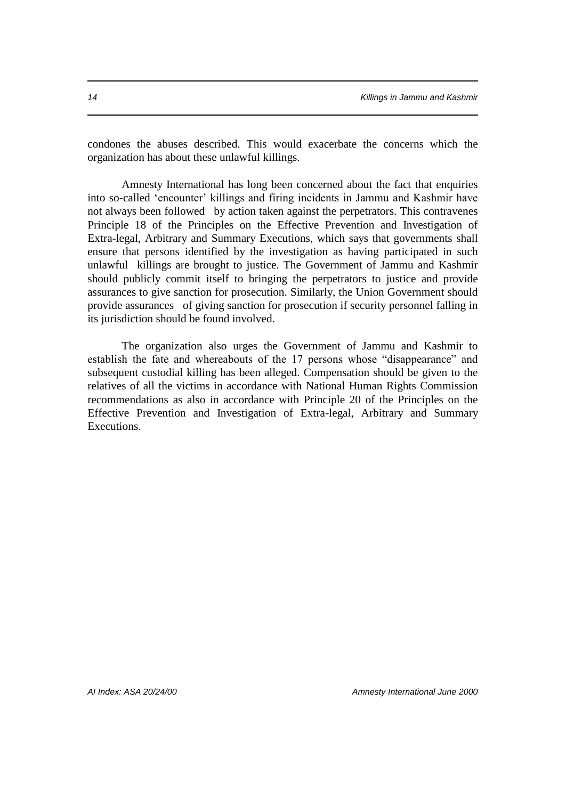condones the abuses described. This would exacerbate the concerns which the organization has about these unlawful killings.

Amnesty International has long been concerned about the fact that enquiries into so-called 'encounter' killings and firing incidents in Jammu and Kashmir have not always been followed by action taken against the perpetrators. This contravenes Principle 18 of the Principles on the Effective Prevention and Investigation of Extra-legal, Arbitrary and Summary Executions, which says that governments shall ensure that persons identified by the investigation as having participated in such unlawful killings are brought to justice. The Government of Jammu and Kashmir should publicly commit itself to bringing the perpetrators to justice and provide assurances to give sanction for prosecution. Similarly, the Union Government should provide assurances of giving sanction for prosecution if security personnel falling in its jurisdiction should be found involved.

The organization also urges the Government of Jammu and Kashmir to establish the fate and whereabouts of the 17 persons whose "disappearance" and subsequent custodial killing has been alleged. Compensation should be given to the relatives of all the victims in accordance with National Human Rights Commission recommendations as also in accordance with Principle 20 of the Principles on the Effective Prevention and Investigation of Extra-legal, Arbitrary and Summary Executions.